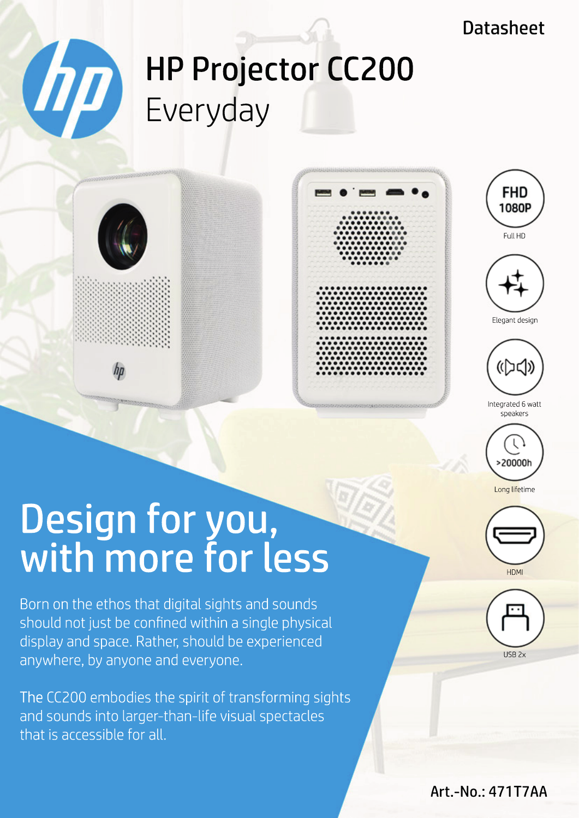### **Datasheet**

# HP Projector CC200 Everyday







**FHD** 

Elegant design



Integrated 6 watt speakers



## Design for you, with more for less

Born on the ethos that digital sights and sounds should not just be confined within a single physical display and space. Rather, should be experienced anywhere, by anyone and everyone.

The CC200 embodies the spirit of transforming sights and sounds into larger-than-life visual spectacles that is accessible for all.

> HP is a trademark of HP Inc. or its affiliates, used by GT Technology Chongqing Limited under license from HP Inc.: Distributor: GO Europe GmbH | Zum Kraftwerk 1 | 45527 Hattingen (Germany)



USB 2x

#### sales-hp $\epsilon$ europe.com | https://officeeduipment.go-europe.com | Fon: +49 (0) 2324 6801  $\epsilon$ Art.-No.: 471T7AA